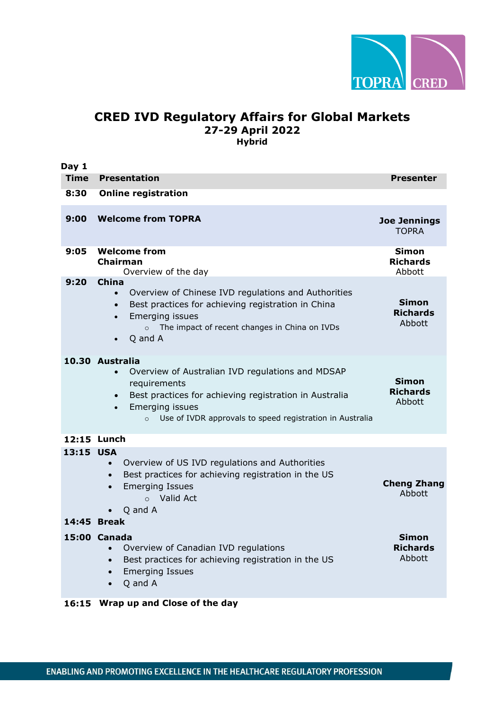

## **CRED IVD Regulatory Affairs for Global Markets 27-29 April 2022 Hybrid**

**Day 1 Time Presentation Presenter 8:30 Online registration 9:00 Welcome from TOPRA Joe Jennings** TOPRA **9:05 Welcome from Chairman** Overview of the day **Simon Richards** Abbott **9:20 China** • Overview of Chinese IVD regulations and Authorities • Best practices for achieving registration in China • Emerging issues o The impact of recent changes in China on IVDs • Q and A **Simon Richards** Abbott **10.30 Australia** • Overview of Australian IVD regulations and MDSAP requirements • Best practices for achieving registration in Australia • Emerging issues o Use of IVDR approvals to speed registration in Australia **Simon Richards** Abbott **12:15 Lunch 13:15 USA** • Overview of US IVD regulations and Authorities • Best practices for achieving registration in the US • Emerging Issues o Valid Act • Q and A **Cheng Zhang** Abbott **14:45 Break 15:00 Canada** • Overview of Canadian IVD regulations • Best practices for achieving registration in the US • Emerging Issues • Q and A **Simon Richards** Abbott **16:15 Wrap up and Close of the day**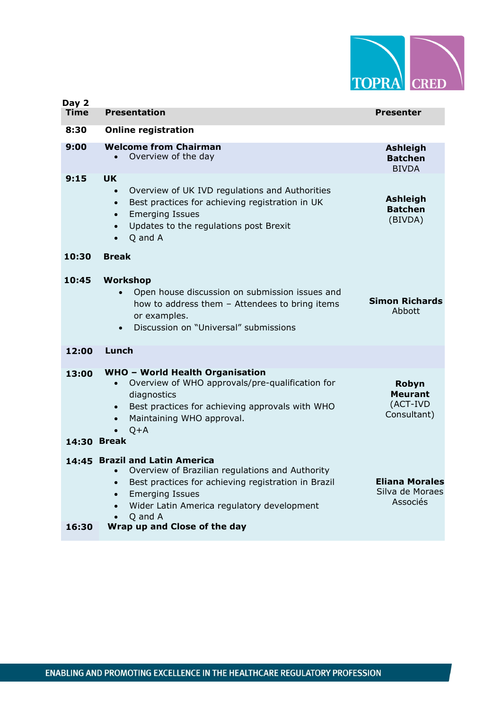

| Day 2                |                                                                                                                                                                                                                                                                                                    |                                                      |
|----------------------|----------------------------------------------------------------------------------------------------------------------------------------------------------------------------------------------------------------------------------------------------------------------------------------------------|------------------------------------------------------|
| <b>Time</b>          | <b>Presentation</b>                                                                                                                                                                                                                                                                                | Presenter                                            |
| 8:30                 | <b>Online registration</b>                                                                                                                                                                                                                                                                         |                                                      |
| 9:00                 | <b>Welcome from Chairman</b><br>Overview of the day                                                                                                                                                                                                                                                | <b>Ashleigh</b><br><b>Batchen</b><br><b>BIVDA</b>    |
| 9:15                 | UK.<br>Overview of UK IVD regulations and Authorities<br>$\bullet$<br>Best practices for achieving registration in UK<br>$\bullet$<br><b>Emerging Issues</b><br>$\bullet$<br>Updates to the regulations post Brexit<br>$\bullet$<br>Q and A<br>$\bullet$                                           | <b>Ashleigh</b><br><b>Batchen</b><br>(BIVDA)         |
| 10:30                | <b>Break</b>                                                                                                                                                                                                                                                                                       |                                                      |
| 10:45                | Workshop<br>Open house discussion on submission issues and<br>how to address them - Attendees to bring items<br>or examples.<br>Discussion on "Universal" submissions<br>$\bullet$                                                                                                                 | <b>Simon Richards</b><br>Abbott                      |
| 12:00                | Lunch                                                                                                                                                                                                                                                                                              |                                                      |
| 13:00<br>14:30 Break | <b>WHO - World Health Organisation</b><br>Overview of WHO approvals/pre-qualification for<br>diagnostics<br>Best practices for achieving approvals with WHO<br>$\bullet$<br>Maintaining WHO approval.<br>$Q+A$                                                                                     | Robyn<br><b>Meurant</b><br>(ACT-IVD<br>Consultant)   |
| 16:30                | 14:45 Brazil and Latin America<br>Overview of Brazilian regulations and Authority<br>$\bullet$<br>Best practices for achieving registration in Brazil<br>$\bullet$<br><b>Emerging Issues</b><br>$\bullet$<br>Wider Latin America regulatory development<br>Q and A<br>Wrap up and Close of the day | <b>Eliana Morales</b><br>Silva de Moraes<br>Associés |